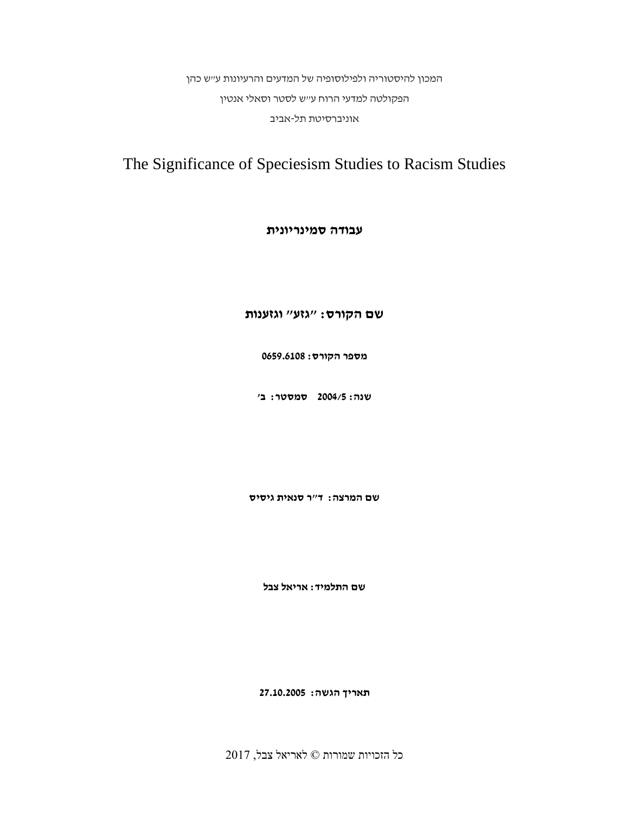המכון להיסטוריה ולפילוסופיה של המדעים והרעיונות ע"ש כהן הפקולטה למדעי הרוח ע"ש לסטר וסאלי אנטין אוניברסיטת תל-אביב

# The Significance of Speciesism Studies to Racism Studies

# **עבודה סמינריונית**

## **שם הקורס: "גזע" וגזענות**

**מספר הקורס: 0659.6108**

**שנה: 2004/5 סמסטר: ב'**

**שם המרצה: ד"ר סנאית גיסיס**

**שם התלמיד: אריאל צבל**

**תאריך הגשה: 27.10.2005**

כל הזכויות שמורות © לאריאל צבל, 2017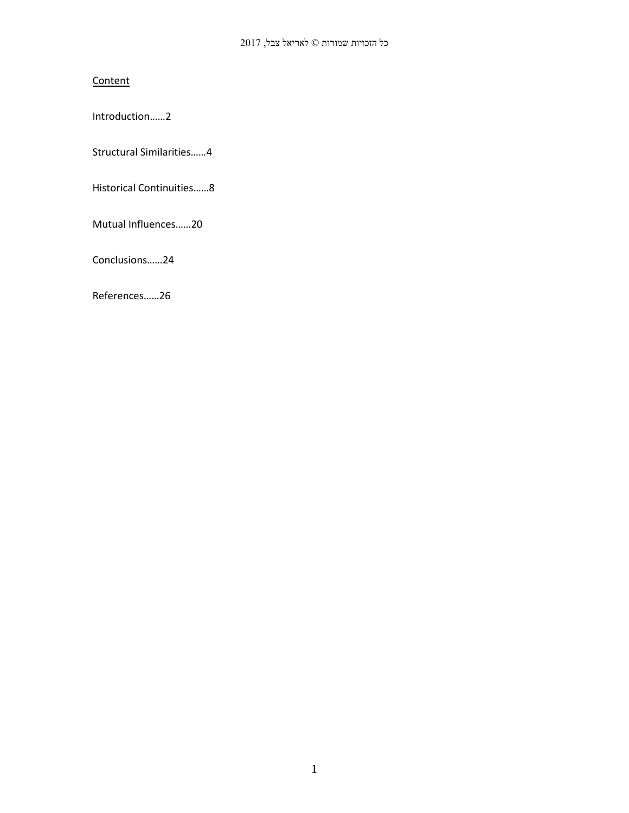# **Content**

Introduction……2

Structural Similarities……4

Historical Continuities……8

Mutual Influences……20

Conclusions……24

References……26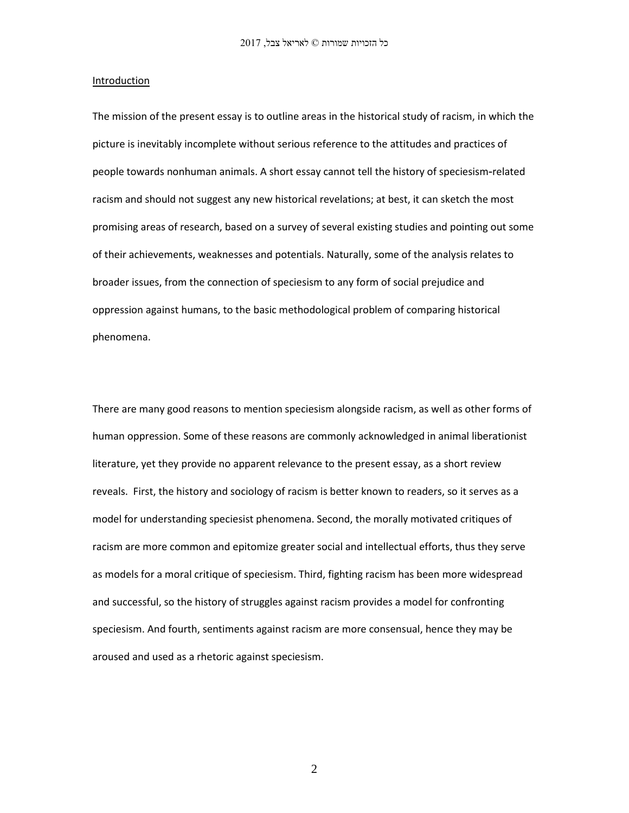#### **Introduction**

The mission of the present essay is to outline areas in the historical study of racism, in which the picture is inevitably incomplete without serious reference to the attitudes and practices of people towards nonhuman animals. A short essay cannot tell the history of speciesism-related racism and should not suggest any new historical revelations; at best, it can sketch the most promising areas of research, based on a survey of several existing studies and pointing out some of their achievements, weaknesses and potentials. Naturally, some of the analysis relates to broader issues, from the connection of speciesism to any form of social prejudice and oppression against humans, to the basic methodological problem of comparing historical phenomena.

There are many good reasons to mention speciesism alongside racism, as well as other forms of human oppression. Some of these reasons are commonly acknowledged in animal liberationist literature, yet they provide no apparent relevance to the present essay, as a short review reveals. First, the history and sociology of racism is better known to readers, so it serves as a model for understanding speciesist phenomena. Second, the morally motivated critiques of racism are more common and epitomize greater social and intellectual efforts, thus they serve as models for a moral critique of speciesism. Third, fighting racism has been more widespread and successful, so the history of struggles against racism provides a model for confronting speciesism. And fourth, sentiments against racism are more consensual, hence they may be aroused and used as a rhetoric against speciesism.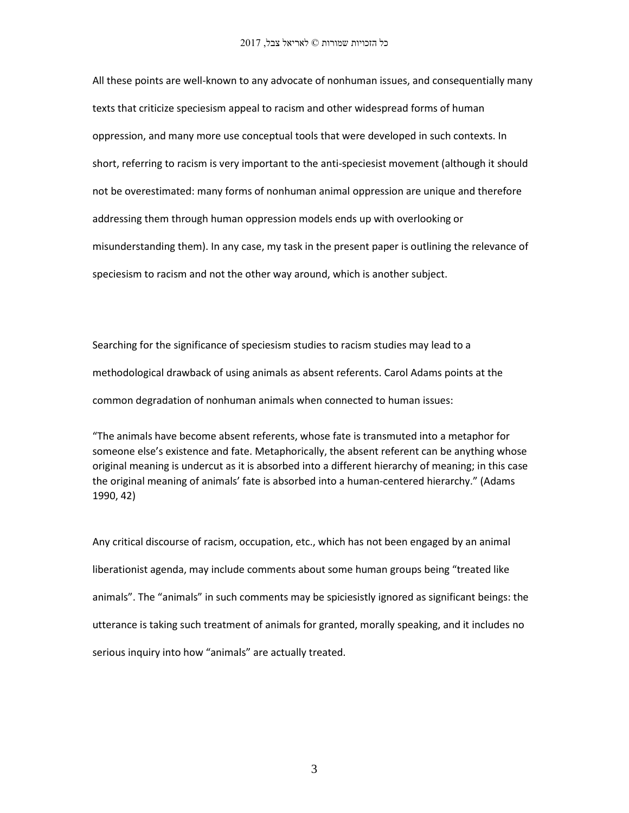All these points are well-known to any advocate of nonhuman issues, and consequentially many texts that criticize speciesism appeal to racism and other widespread forms of human oppression, and many more use conceptual tools that were developed in such contexts. In short, referring to racism is very important to the anti-speciesist movement (although it should not be overestimated: many forms of nonhuman animal oppression are unique and therefore addressing them through human oppression models ends up with overlooking or misunderstanding them). In any case, my task in the present paper is outlining the relevance of speciesism to racism and not the other way around, which is another subject.

Searching for the significance of speciesism studies to racism studies may lead to a methodological drawback of using animals as absent referents. Carol Adams points at the common degradation of nonhuman animals when connected to human issues:

"The animals have become absent referents, whose fate is transmuted into a metaphor for someone else's existence and fate. Metaphorically, the absent referent can be anything whose original meaning is undercut as it is absorbed into a different hierarchy of meaning; in this case the original meaning of animals' fate is absorbed into a human-centered hierarchy." (Adams 1990, 42)

Any critical discourse of racism, occupation, etc., which has not been engaged by an animal liberationist agenda, may include comments about some human groups being "treated like animals". The "animals" in such comments may be spiciesistly ignored as significant beings: the utterance is taking such treatment of animals for granted, morally speaking, and it includes no serious inquiry into how "animals" are actually treated.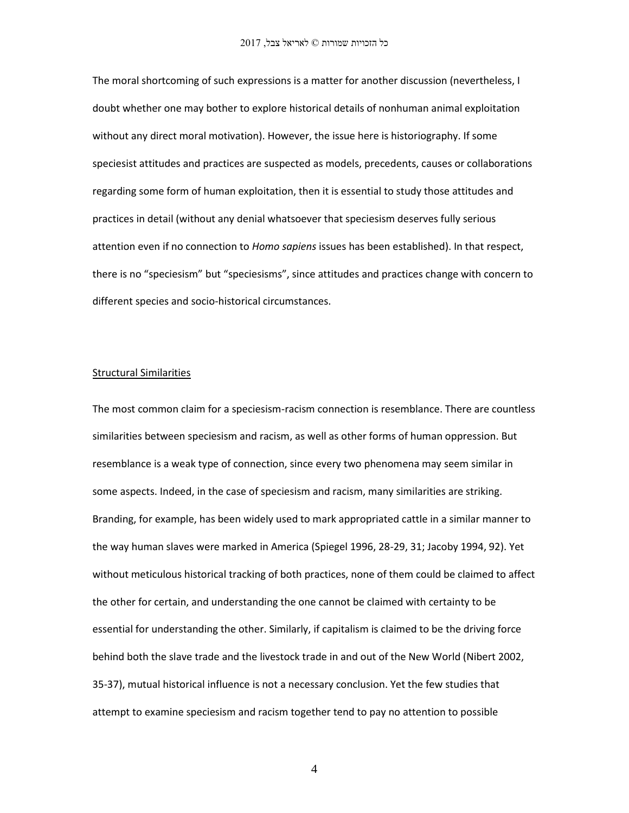The moral shortcoming of such expressions is a matter for another discussion (nevertheless, I doubt whether one may bother to explore historical details of nonhuman animal exploitation without any direct moral motivation). However, the issue here is historiography. If some speciesist attitudes and practices are suspected as models, precedents, causes or collaborations regarding some form of human exploitation, then it is essential to study those attitudes and practices in detail (without any denial whatsoever that speciesism deserves fully serious attention even if no connection to *Homo sapiens* issues has been established). In that respect, there is no "speciesism" but "speciesisms", since attitudes and practices change with concern to different species and socio-historical circumstances.

## Structural Similarities

The most common claim for a speciesism-racism connection is resemblance. There are countless similarities between speciesism and racism, as well as other forms of human oppression. But resemblance is a weak type of connection, since every two phenomena may seem similar in some aspects. Indeed, in the case of speciesism and racism, many similarities are striking. Branding, for example, has been widely used to mark appropriated cattle in a similar manner to the way human slaves were marked in America (Spiegel 1996, 28-29, 31; Jacoby 1994, 92). Yet without meticulous historical tracking of both practices, none of them could be claimed to affect the other for certain, and understanding the one cannot be claimed with certainty to be essential for understanding the other. Similarly, if capitalism is claimed to be the driving force behind both the slave trade and the livestock trade in and out of the New World (Nibert 2002, 35-37), mutual historical influence is not a necessary conclusion. Yet the few studies that attempt to examine speciesism and racism together tend to pay no attention to possible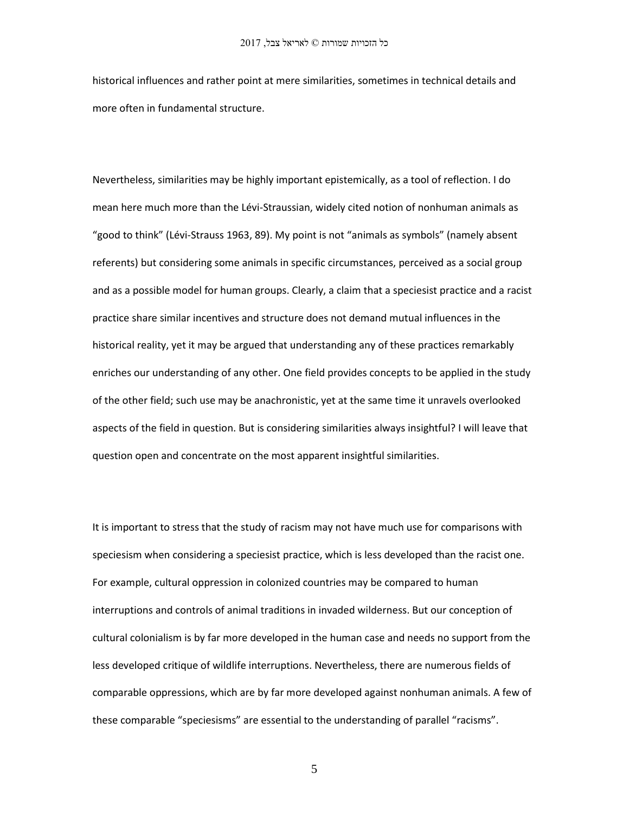historical influences and rather point at mere similarities, sometimes in technical details and more often in fundamental structure.

Nevertheless, similarities may be highly important epistemically, as a tool of reflection. I do mean here much more than the Lévi-Straussian, widely cited notion of nonhuman animals as "good to think" (Lévi-Strauss 1963, 89). My point is not "animals as symbols" (namely absent referents) but considering some animals in specific circumstances, perceived as a social group and as a possible model for human groups. Clearly, a claim that a speciesist practice and a racist practice share similar incentives and structure does not demand mutual influences in the historical reality, yet it may be argued that understanding any of these practices remarkably enriches our understanding of any other. One field provides concepts to be applied in the study of the other field; such use may be anachronistic, yet at the same time it unravels overlooked aspects of the field in question. But is considering similarities always insightful? I will leave that question open and concentrate on the most apparent insightful similarities.

It is important to stress that the study of racism may not have much use for comparisons with speciesism when considering a speciesist practice, which is less developed than the racist one. For example, cultural oppression in colonized countries may be compared to human interruptions and controls of animal traditions in invaded wilderness. But our conception of cultural colonialism is by far more developed in the human case and needs no support from the less developed critique of wildlife interruptions. Nevertheless, there are numerous fields of comparable oppressions, which are by far more developed against nonhuman animals. A few of these comparable "speciesisms" are essential to the understanding of parallel "racisms".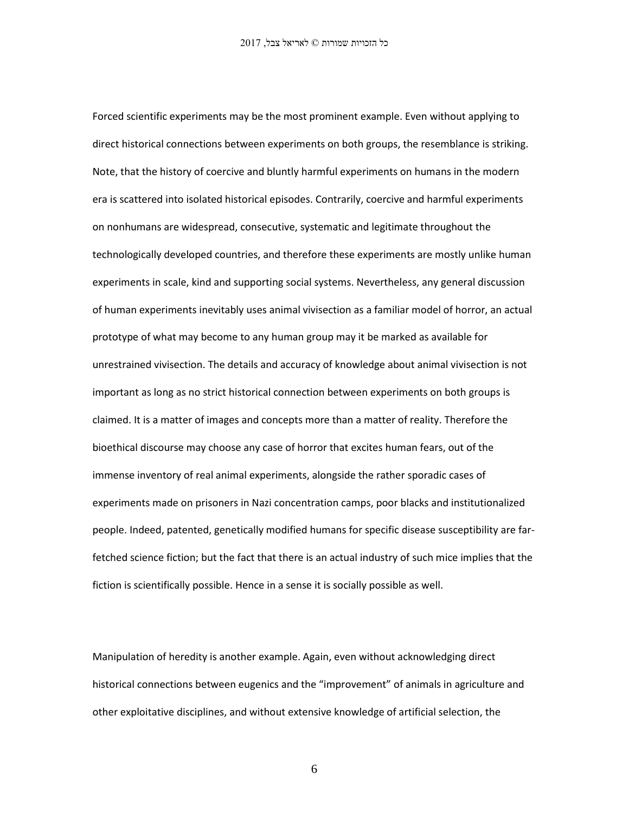Forced scientific experiments may be the most prominent example. Even without applying to direct historical connections between experiments on both groups, the resemblance is striking. Note, that the history of coercive and bluntly harmful experiments on humans in the modern era is scattered into isolated historical episodes. Contrarily, coercive and harmful experiments on nonhumans are widespread, consecutive, systematic and legitimate throughout the technologically developed countries, and therefore these experiments are mostly unlike human experiments in scale, kind and supporting social systems. Nevertheless, any general discussion of human experiments inevitably uses animal vivisection as a familiar model of horror, an actual prototype of what may become to any human group may it be marked as available for unrestrained vivisection. The details and accuracy of knowledge about animal vivisection is not important as long as no strict historical connection between experiments on both groups is claimed. It is a matter of images and concepts more than a matter of reality. Therefore the bioethical discourse may choose any case of horror that excites human fears, out of the immense inventory of real animal experiments, alongside the rather sporadic cases of experiments made on prisoners in Nazi concentration camps, poor blacks and institutionalized people. Indeed, patented, genetically modified humans for specific disease susceptibility are farfetched science fiction; but the fact that there is an actual industry of such mice implies that the fiction is scientifically possible. Hence in a sense it is socially possible as well.

Manipulation of heredity is another example. Again, even without acknowledging direct historical connections between eugenics and the "improvement" of animals in agriculture and other exploitative disciplines, and without extensive knowledge of artificial selection, the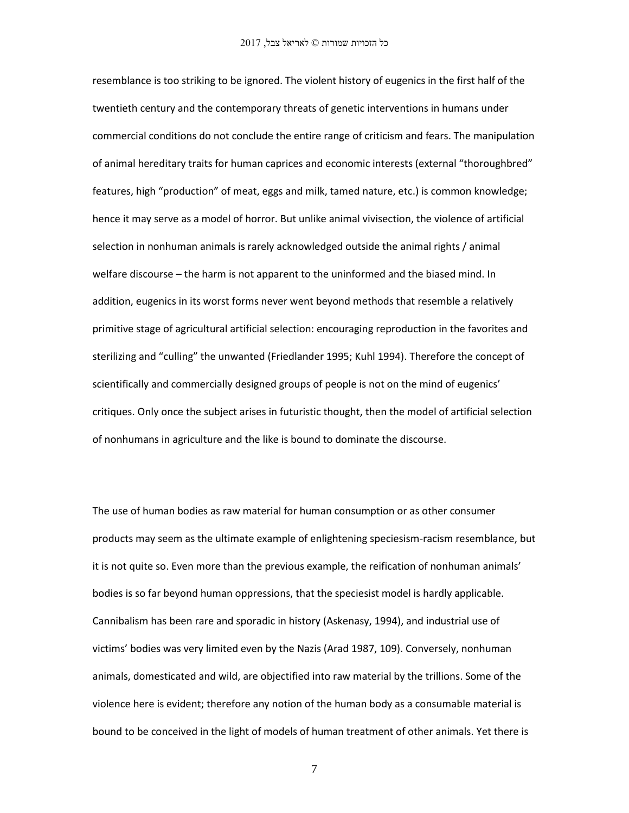resemblance is too striking to be ignored. The violent history of eugenics in the first half of the twentieth century and the contemporary threats of genetic interventions in humans under commercial conditions do not conclude the entire range of criticism and fears. The manipulation of animal hereditary traits for human caprices and economic interests (external "thoroughbred" features, high "production" of meat, eggs and milk, tamed nature, etc.) is common knowledge; hence it may serve as a model of horror. But unlike animal vivisection, the violence of artificial selection in nonhuman animals is rarely acknowledged outside the animal rights / animal welfare discourse – the harm is not apparent to the uninformed and the biased mind. In addition, eugenics in its worst forms never went beyond methods that resemble a relatively primitive stage of agricultural artificial selection: encouraging reproduction in the favorites and sterilizing and "culling" the unwanted (Friedlander 1995; Kuhl 1994). Therefore the concept of scientifically and commercially designed groups of people is not on the mind of eugenics' critiques. Only once the subject arises in futuristic thought, then the model of artificial selection of nonhumans in agriculture and the like is bound to dominate the discourse.

The use of human bodies as raw material for human consumption or as other consumer products may seem as the ultimate example of enlightening speciesism-racism resemblance, but it is not quite so. Even more than the previous example, the reification of nonhuman animals' bodies is so far beyond human oppressions, that the speciesist model is hardly applicable. Cannibalism has been rare and sporadic in history (Askenasy, 1994), and industrial use of victims' bodies was very limited even by the Nazis (Arad 1987, 109). Conversely, nonhuman animals, domesticated and wild, are objectified into raw material by the trillions. Some of the violence here is evident; therefore any notion of the human body as a consumable material is bound to be conceived in the light of models of human treatment of other animals. Yet there is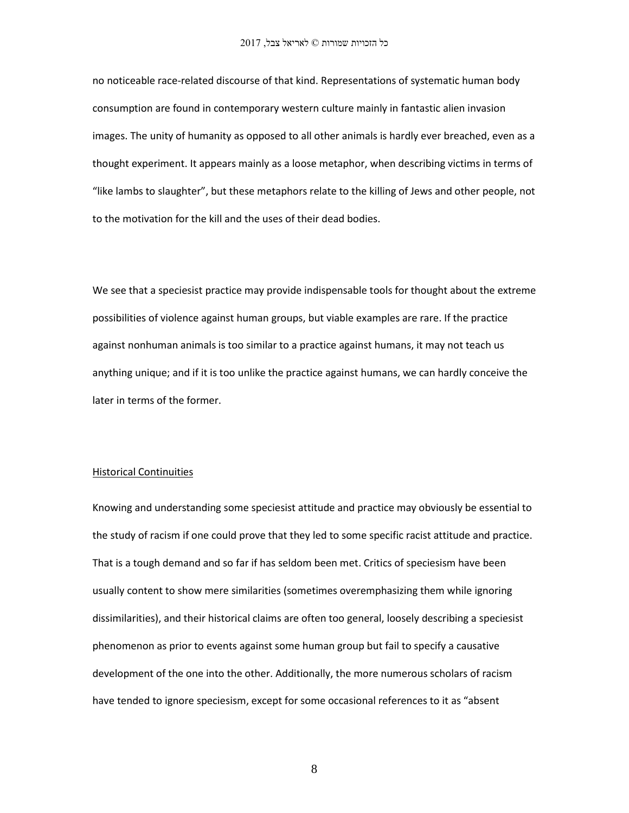no noticeable race-related discourse of that kind. Representations of systematic human body consumption are found in contemporary western culture mainly in fantastic alien invasion images. The unity of humanity as opposed to all other animals is hardly ever breached, even as a thought experiment. It appears mainly as a loose metaphor, when describing victims in terms of "like lambs to slaughter", but these metaphors relate to the killing of Jews and other people, not to the motivation for the kill and the uses of their dead bodies.

We see that a speciesist practice may provide indispensable tools for thought about the extreme possibilities of violence against human groups, but viable examples are rare. If the practice against nonhuman animals is too similar to a practice against humans, it may not teach us anything unique; and if it is too unlike the practice against humans, we can hardly conceive the later in terms of the former.

#### Historical Continuities

Knowing and understanding some speciesist attitude and practice may obviously be essential to the study of racism if one could prove that they led to some specific racist attitude and practice. That is a tough demand and so far if has seldom been met. Critics of speciesism have been usually content to show mere similarities (sometimes overemphasizing them while ignoring dissimilarities), and their historical claims are often too general, loosely describing a speciesist phenomenon as prior to events against some human group but fail to specify a causative development of the one into the other. Additionally, the more numerous scholars of racism have tended to ignore speciesism, except for some occasional references to it as "absent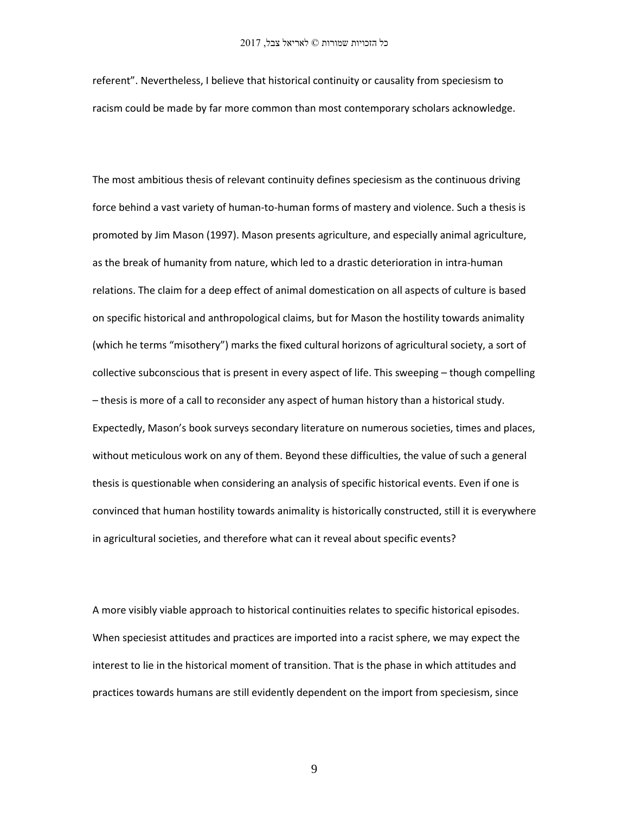referent". Nevertheless, I believe that historical continuity or causality from speciesism to racism could be made by far more common than most contemporary scholars acknowledge.

The most ambitious thesis of relevant continuity defines speciesism as the continuous driving force behind a vast variety of human-to-human forms of mastery and violence. Such a thesis is promoted by Jim Mason (1997). Mason presents agriculture, and especially animal agriculture, as the break of humanity from nature, which led to a drastic deterioration in intra-human relations. The claim for a deep effect of animal domestication on all aspects of culture is based on specific historical and anthropological claims, but for Mason the hostility towards animality (which he terms "misothery") marks the fixed cultural horizons of agricultural society, a sort of collective subconscious that is present in every aspect of life. This sweeping – though compelling – thesis is more of a call to reconsider any aspect of human history than a historical study. Expectedly, Mason's book surveys secondary literature on numerous societies, times and places, without meticulous work on any of them. Beyond these difficulties, the value of such a general thesis is questionable when considering an analysis of specific historical events. Even if one is convinced that human hostility towards animality is historically constructed, still it is everywhere in agricultural societies, and therefore what can it reveal about specific events?

A more visibly viable approach to historical continuities relates to specific historical episodes. When speciesist attitudes and practices are imported into a racist sphere, we may expect the interest to lie in the historical moment of transition. That is the phase in which attitudes and practices towards humans are still evidently dependent on the import from speciesism, since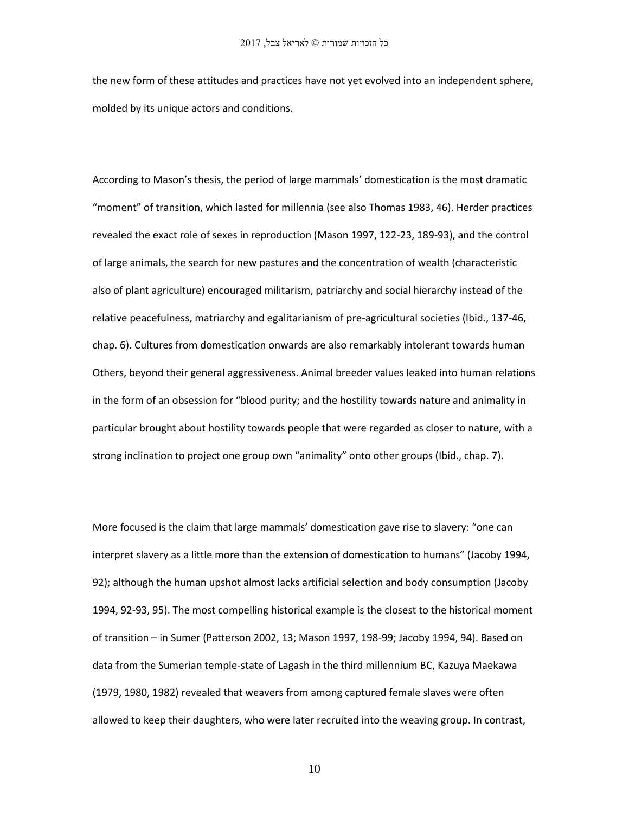the new form of these attitudes and practices have not yet evolved into an independent sphere, molded by its unique actors and conditions.

According to Mason's thesis, the period of large mammals' domestication is the most dramatic "moment" of transition, which lasted for millennia (see also Thomas 1983, 46). Herder practices revealed the exact role of sexes in reproduction (Mason 1997, 122-23, 189-93), and the control of large animals, the search for new pastures and the concentration of wealth (characteristic also of plant agriculture) encouraged militarism, patriarchy and social hierarchy instead of the relative peacefulness, matriarchy and egalitarianism of pre-agricultural societies (Ibid., 137-46, chap. 6). Cultures from domestication onwards are also remarkably intolerant towards human Others, beyond their general aggressiveness. Animal breeder values leaked into human relations in the form of an obsession for "blood purity; and the hostility towards nature and animality in particular brought about hostility towards people that were regarded as closer to nature, with a strong inclination to project one group own "animality" onto other groups (Ibid., chap. 7).

More focused is the claim that large mammals' domestication gave rise to slavery: "one can interpret slavery as a little more than the extension of domestication to humans" (Jacoby 1994, 92); although the human upshot almost lacks artificial selection and body consumption (Jacoby 1994, 92-93, 95). The most compelling historical example is the closest to the historical moment of transition – in Sumer (Patterson 2002, 13; Mason 1997, 198-99; Jacoby 1994, 94). Based on data from the Sumerian temple-state of Lagash in the third millennium BC, Kazuya Maekawa (1979, 1980, 1982) revealed that weavers from among captured female slaves were often allowed to keep their daughters, who were later recruited into the weaving group. In contrast,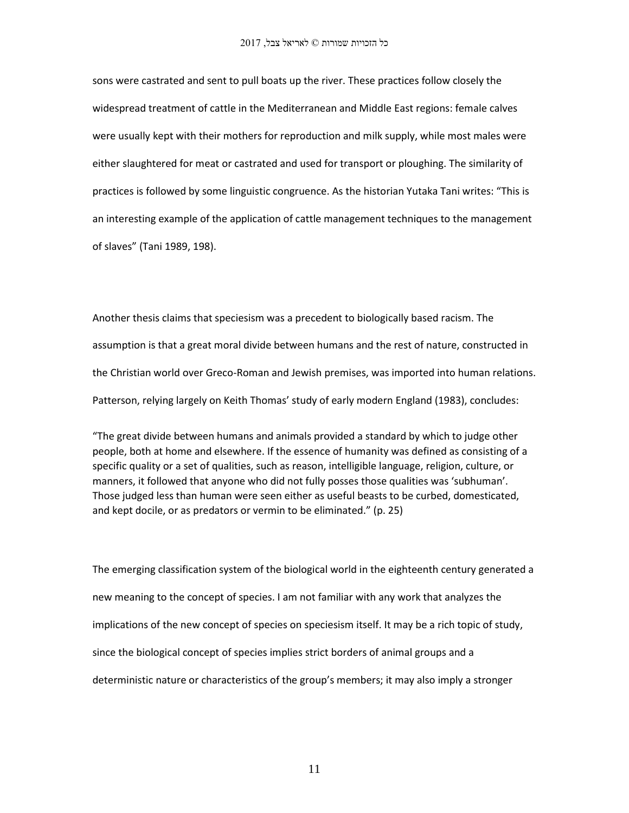sons were castrated and sent to pull boats up the river. These practices follow closely the widespread treatment of cattle in the Mediterranean and Middle East regions: female calves were usually kept with their mothers for reproduction and milk supply, while most males were either slaughtered for meat or castrated and used for transport or ploughing. The similarity of practices is followed by some linguistic congruence. As the historian Yutaka Tani writes: "This is an interesting example of the application of cattle management techniques to the management of slaves" (Tani 1989, 198).

Another thesis claims that speciesism was a precedent to biologically based racism. The assumption is that a great moral divide between humans and the rest of nature, constructed in the Christian world over Greco-Roman and Jewish premises, was imported into human relations. Patterson, relying largely on Keith Thomas' study of early modern England (1983), concludes:

"The great divide between humans and animals provided a standard by which to judge other people, both at home and elsewhere. If the essence of humanity was defined as consisting of a specific quality or a set of qualities, such as reason, intelligible language, religion, culture, or manners, it followed that anyone who did not fully posses those qualities was 'subhuman'. Those judged less than human were seen either as useful beasts to be curbed, domesticated, and kept docile, or as predators or vermin to be eliminated." (p. 25)

The emerging classification system of the biological world in the eighteenth century generated a new meaning to the concept of species. I am not familiar with any work that analyzes the implications of the new concept of species on speciesism itself. It may be a rich topic of study, since the biological concept of species implies strict borders of animal groups and a deterministic nature or characteristics of the group's members; it may also imply a stronger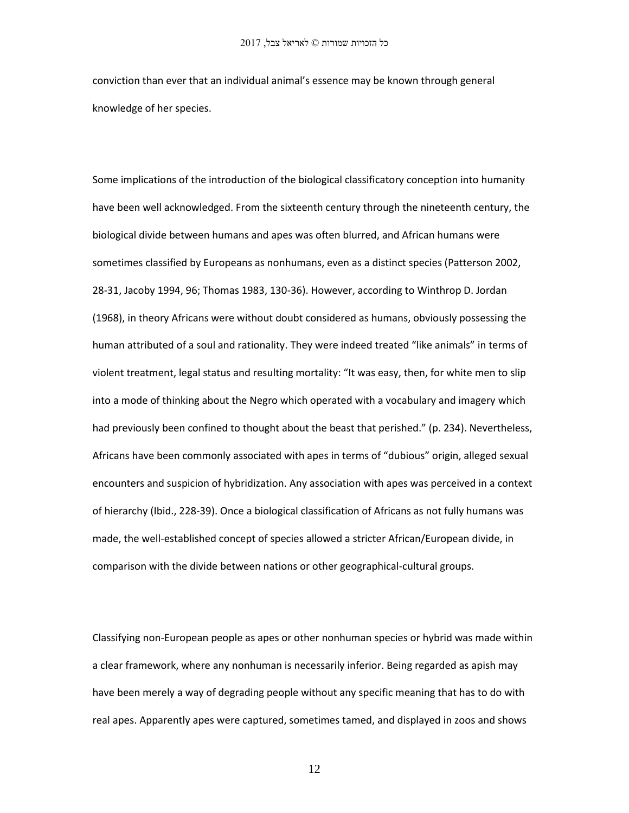conviction than ever that an individual animal's essence may be known through general knowledge of her species.

Some implications of the introduction of the biological classificatory conception into humanity have been well acknowledged. From the sixteenth century through the nineteenth century, the biological divide between humans and apes was often blurred, and African humans were sometimes classified by Europeans as nonhumans, even as a distinct species (Patterson 2002, 28-31, Jacoby 1994, 96; Thomas 1983, 130-36). However, according to Winthrop D. Jordan (1968), in theory Africans were without doubt considered as humans, obviously possessing the human attributed of a soul and rationality. They were indeed treated "like animals" in terms of violent treatment, legal status and resulting mortality: "It was easy, then, for white men to slip into a mode of thinking about the Negro which operated with a vocabulary and imagery which had previously been confined to thought about the beast that perished." (p. 234). Nevertheless, Africans have been commonly associated with apes in terms of "dubious" origin, alleged sexual encounters and suspicion of hybridization. Any association with apes was perceived in a context of hierarchy (Ibid., 228-39). Once a biological classification of Africans as not fully humans was made, the well-established concept of species allowed a stricter African/European divide, in comparison with the divide between nations or other geographical-cultural groups.

Classifying non-European people as apes or other nonhuman species or hybrid was made within a clear framework, where any nonhuman is necessarily inferior. Being regarded as apish may have been merely a way of degrading people without any specific meaning that has to do with real apes. Apparently apes were captured, sometimes tamed, and displayed in zoos and shows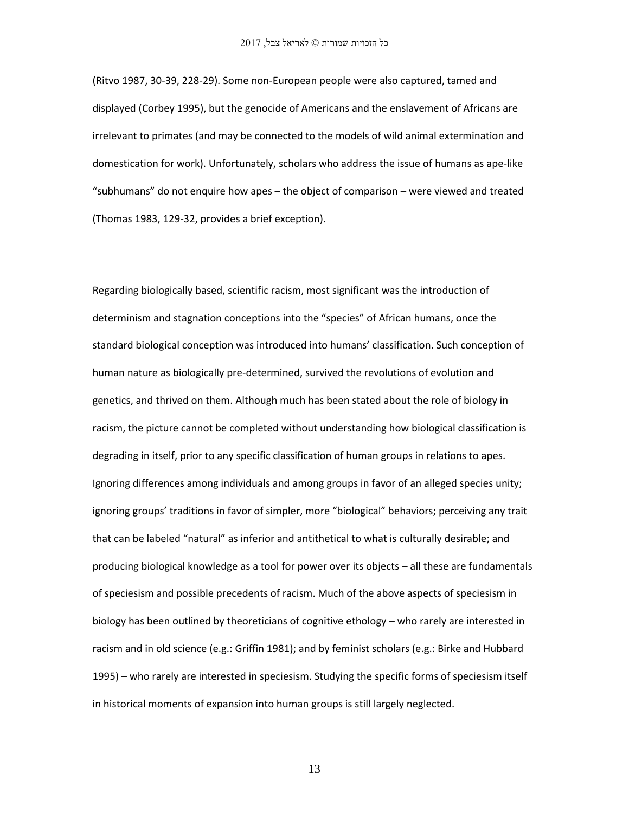(Ritvo 1987, 30-39, 228-29). Some non-European people were also captured, tamed and displayed (Corbey 1995), but the genocide of Americans and the enslavement of Africans are irrelevant to primates (and may be connected to the models of wild animal extermination and domestication for work). Unfortunately, scholars who address the issue of humans as ape-like "subhumans" do not enquire how apes – the object of comparison – were viewed and treated (Thomas 1983, 129-32, provides a brief exception).

Regarding biologically based, scientific racism, most significant was the introduction of determinism and stagnation conceptions into the "species" of African humans, once the standard biological conception was introduced into humans' classification. Such conception of human nature as biologically pre-determined, survived the revolutions of evolution and genetics, and thrived on them. Although much has been stated about the role of biology in racism, the picture cannot be completed without understanding how biological classification is degrading in itself, prior to any specific classification of human groups in relations to apes. Ignoring differences among individuals and among groups in favor of an alleged species unity; ignoring groups' traditions in favor of simpler, more "biological" behaviors; perceiving any trait that can be labeled "natural" as inferior and antithetical to what is culturally desirable; and producing biological knowledge as a tool for power over its objects – all these are fundamentals of speciesism and possible precedents of racism. Much of the above aspects of speciesism in biology has been outlined by theoreticians of cognitive ethology – who rarely are interested in racism and in old science (e.g.: Griffin 1981); and by feminist scholars (e.g.: Birke and Hubbard 1995) – who rarely are interested in speciesism. Studying the specific forms of speciesism itself in historical moments of expansion into human groups is still largely neglected.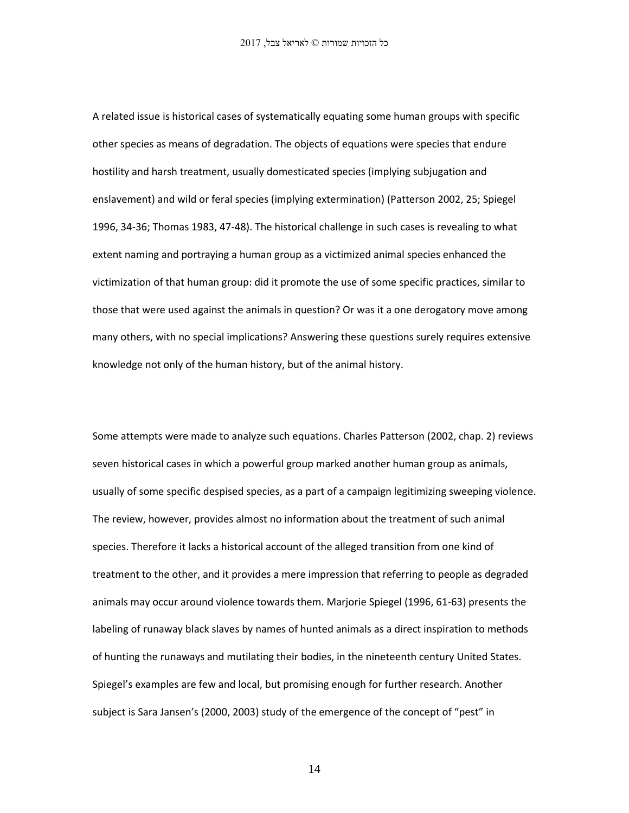A related issue is historical cases of systematically equating some human groups with specific other species as means of degradation. The objects of equations were species that endure hostility and harsh treatment, usually domesticated species (implying subjugation and enslavement) and wild or feral species (implying extermination) (Patterson 2002, 25; Spiegel 1996, 34-36; Thomas 1983, 47-48). The historical challenge in such cases is revealing to what extent naming and portraying a human group as a victimized animal species enhanced the victimization of that human group: did it promote the use of some specific practices, similar to those that were used against the animals in question? Or was it a one derogatory move among many others, with no special implications? Answering these questions surely requires extensive knowledge not only of the human history, but of the animal history.

Some attempts were made to analyze such equations. Charles Patterson (2002, chap. 2) reviews seven historical cases in which a powerful group marked another human group as animals, usually of some specific despised species, as a part of a campaign legitimizing sweeping violence. The review, however, provides almost no information about the treatment of such animal species. Therefore it lacks a historical account of the alleged transition from one kind of treatment to the other, and it provides a mere impression that referring to people as degraded animals may occur around violence towards them. Marjorie Spiegel (1996, 61-63) presents the labeling of runaway black slaves by names of hunted animals as a direct inspiration to methods of hunting the runaways and mutilating their bodies, in the nineteenth century United States. Spiegel's examples are few and local, but promising enough for further research. Another subject is Sara Jansen's (2000, 2003) study of the emergence of the concept of "pest" in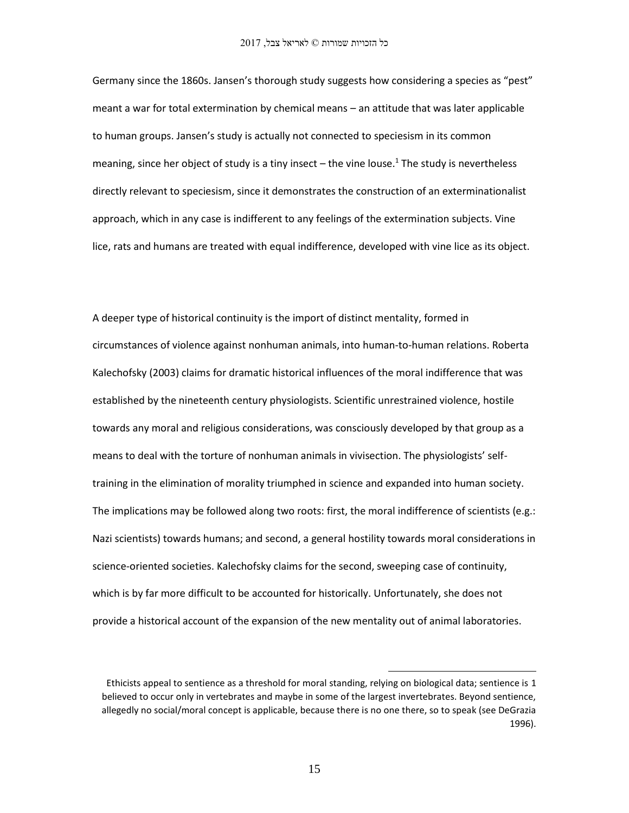Germany since the 1860s. Jansen's thorough study suggests how considering a species as "pest" meant a war for total extermination by chemical means – an attitude that was later applicable to human groups. Jansen's study is actually not connected to speciesism in its common meaning, since her object of study is a tiny insect  $-$  the vine louse.<sup>1</sup> The study is nevertheless directly relevant to speciesism, since it demonstrates the construction of an exterminationalist approach, which in any case is indifferent to any feelings of the extermination subjects. Vine lice, rats and humans are treated with equal indifference, developed with vine lice as its object.

A deeper type of historical continuity is the import of distinct mentality, formed in circumstances of violence against nonhuman animals, into human-to-human relations. Roberta Kalechofsky (2003) claims for dramatic historical influences of the moral indifference that was established by the nineteenth century physiologists. Scientific unrestrained violence, hostile towards any moral and religious considerations, was consciously developed by that group as a means to deal with the torture of nonhuman animals in vivisection. The physiologists' selftraining in the elimination of morality triumphed in science and expanded into human society. The implications may be followed along two roots: first, the moral indifference of scientists (e.g.: Nazi scientists) towards humans; and second, a general hostility towards moral considerations in science-oriented societies. Kalechofsky claims for the second, sweeping case of continuity, which is by far more difficult to be accounted for historically. Unfortunately, she does not provide a historical account of the expansion of the new mentality out of animal laboratories.

 $\overline{a}$ 

Ethicists appeal to sentience as a threshold for moral standing, relying on biological data; sentience is 1 believed to occur only in vertebrates and maybe in some of the largest invertebrates. Beyond sentience, allegedly no social/moral concept is applicable, because there is no one there, so to speak (see DeGrazia 1996).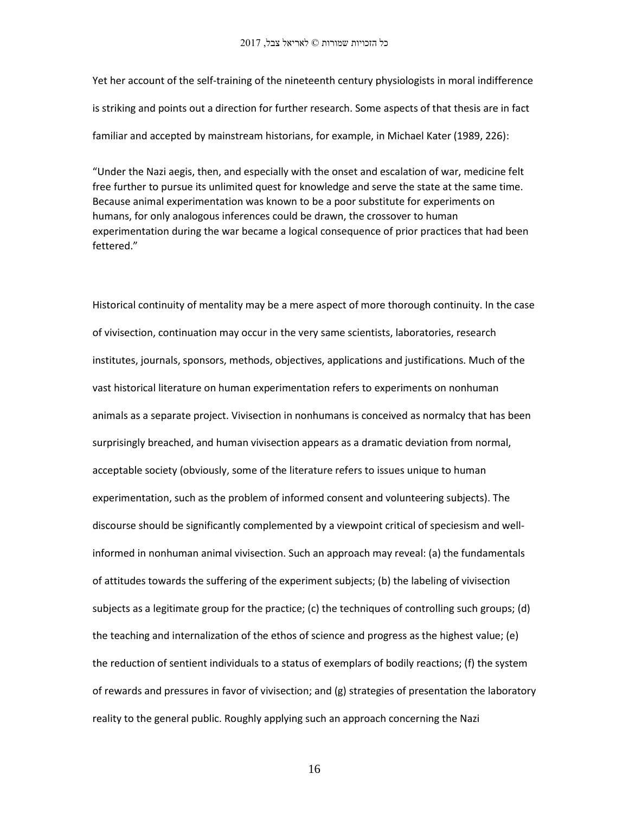Yet her account of the self-training of the nineteenth century physiologists in moral indifference is striking and points out a direction for further research. Some aspects of that thesis are in fact familiar and accepted by mainstream historians, for example, in Michael Kater (1989, 226):

"Under the Nazi aegis, then, and especially with the onset and escalation of war, medicine felt free further to pursue its unlimited quest for knowledge and serve the state at the same time. Because animal experimentation was known to be a poor substitute for experiments on humans, for only analogous inferences could be drawn, the crossover to human experimentation during the war became a logical consequence of prior practices that had been fettered."

Historical continuity of mentality may be a mere aspect of more thorough continuity. In the case of vivisection, continuation may occur in the very same scientists, laboratories, research institutes, journals, sponsors, methods, objectives, applications and justifications. Much of the vast historical literature on human experimentation refers to experiments on nonhuman animals as a separate project. Vivisection in nonhumans is conceived as normalcy that has been surprisingly breached, and human vivisection appears as a dramatic deviation from normal, acceptable society (obviously, some of the literature refers to issues unique to human experimentation, such as the problem of informed consent and volunteering subjects). The discourse should be significantly complemented by a viewpoint critical of speciesism and wellinformed in nonhuman animal vivisection. Such an approach may reveal: (a) the fundamentals of attitudes towards the suffering of the experiment subjects; (b) the labeling of vivisection subjects as a legitimate group for the practice; (c) the techniques of controlling such groups; (d) the teaching and internalization of the ethos of science and progress as the highest value; (e) the reduction of sentient individuals to a status of exemplars of bodily reactions; (f) the system of rewards and pressures in favor of vivisection; and (g) strategies of presentation the laboratory reality to the general public. Roughly applying such an approach concerning the Nazi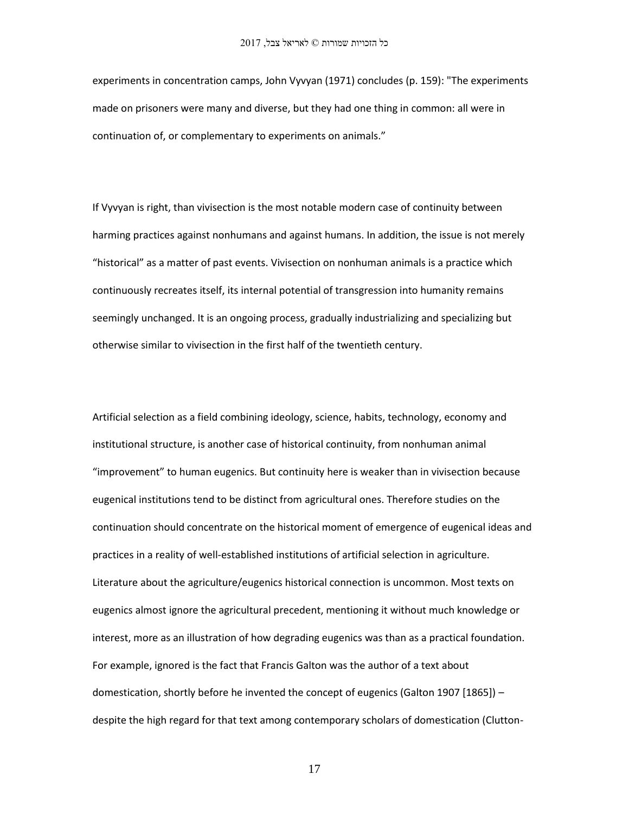experiments in concentration camps, John Vyvyan (1971) concludes (p. 159): "The experiments made on prisoners were many and diverse, but they had one thing in common: all were in continuation of, or complementary to experiments on animals."

If Vyvyan is right, than vivisection is the most notable modern case of continuity between harming practices against nonhumans and against humans. In addition, the issue is not merely "historical" as a matter of past events. Vivisection on nonhuman animals is a practice which continuously recreates itself, its internal potential of transgression into humanity remains seemingly unchanged. It is an ongoing process, gradually industrializing and specializing but otherwise similar to vivisection in the first half of the twentieth century.

Artificial selection as a field combining ideology, science, habits, technology, economy and institutional structure, is another case of historical continuity, from nonhuman animal "improvement" to human eugenics. But continuity here is weaker than in vivisection because eugenical institutions tend to be distinct from agricultural ones. Therefore studies on the continuation should concentrate on the historical moment of emergence of eugenical ideas and practices in a reality of well-established institutions of artificial selection in agriculture. Literature about the agriculture/eugenics historical connection is uncommon. Most texts on eugenics almost ignore the agricultural precedent, mentioning it without much knowledge or interest, more as an illustration of how degrading eugenics was than as a practical foundation. For example, ignored is the fact that Francis Galton was the author of a text about domestication, shortly before he invented the concept of eugenics (Galton 1907 [1865]) – despite the high regard for that text among contemporary scholars of domestication (Clutton-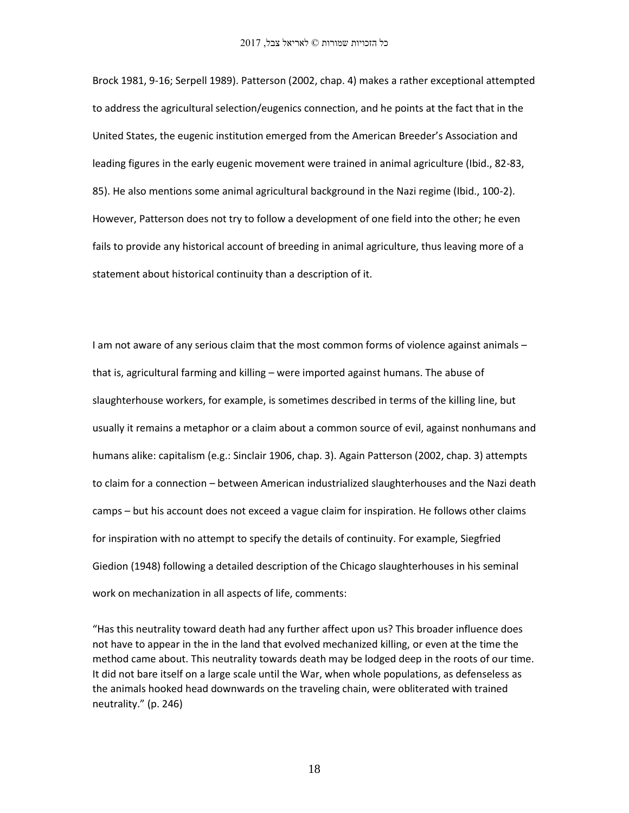Brock 1981, 9-16; Serpell 1989). Patterson (2002, chap. 4) makes a rather exceptional attempted to address the agricultural selection/eugenics connection, and he points at the fact that in the United States, the eugenic institution emerged from the American Breeder's Association and leading figures in the early eugenic movement were trained in animal agriculture (Ibid., 82-83, 85). He also mentions some animal agricultural background in the Nazi regime (Ibid., 100-2). However, Patterson does not try to follow a development of one field into the other; he even fails to provide any historical account of breeding in animal agriculture, thus leaving more of a statement about historical continuity than a description of it.

I am not aware of any serious claim that the most common forms of violence against animals – that is, agricultural farming and killing – were imported against humans. The abuse of slaughterhouse workers, for example, is sometimes described in terms of the killing line, but usually it remains a metaphor or a claim about a common source of evil, against nonhumans and humans alike: capitalism (e.g.: Sinclair 1906, chap. 3). Again Patterson (2002, chap. 3) attempts to claim for a connection – between American industrialized slaughterhouses and the Nazi death camps – but his account does not exceed a vague claim for inspiration. He follows other claims for inspiration with no attempt to specify the details of continuity. For example, Siegfried Giedion (1948) following a detailed description of the Chicago slaughterhouses in his seminal work on mechanization in all aspects of life, comments:

"Has this neutrality toward death had any further affect upon us? This broader influence does not have to appear in the in the land that evolved mechanized killing, or even at the time the method came about. This neutrality towards death may be lodged deep in the roots of our time. It did not bare itself on a large scale until the War, when whole populations, as defenseless as the animals hooked head downwards on the traveling chain, were obliterated with trained neutrality." (p. 246)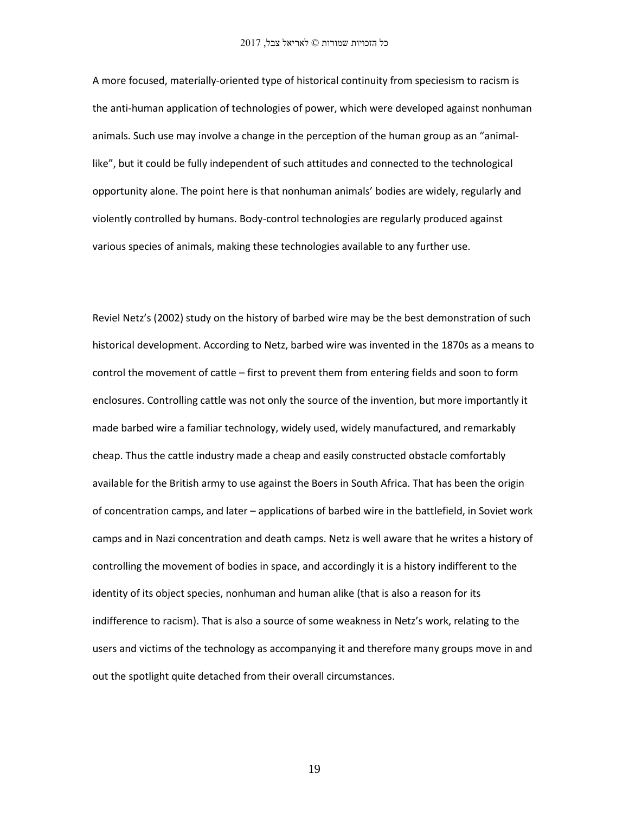A more focused, materially-oriented type of historical continuity from speciesism to racism is the anti-human application of technologies of power, which were developed against nonhuman animals. Such use may involve a change in the perception of the human group as an "animallike", but it could be fully independent of such attitudes and connected to the technological opportunity alone. The point here is that nonhuman animals' bodies are widely, regularly and violently controlled by humans. Body-control technologies are regularly produced against various species of animals, making these technologies available to any further use.

Reviel Netz's (2002) study on the history of barbed wire may be the best demonstration of such historical development. According to Netz, barbed wire was invented in the 1870s as a means to control the movement of cattle – first to prevent them from entering fields and soon to form enclosures. Controlling cattle was not only the source of the invention, but more importantly it made barbed wire a familiar technology, widely used, widely manufactured, and remarkably cheap. Thus the cattle industry made a cheap and easily constructed obstacle comfortably available for the British army to use against the Boers in South Africa. That has been the origin of concentration camps, and later – applications of barbed wire in the battlefield, in Soviet work camps and in Nazi concentration and death camps. Netz is well aware that he writes a history of controlling the movement of bodies in space, and accordingly it is a history indifferent to the identity of its object species, nonhuman and human alike (that is also a reason for its indifference to racism). That is also a source of some weakness in Netz's work, relating to the users and victims of the technology as accompanying it and therefore many groups move in and out the spotlight quite detached from their overall circumstances.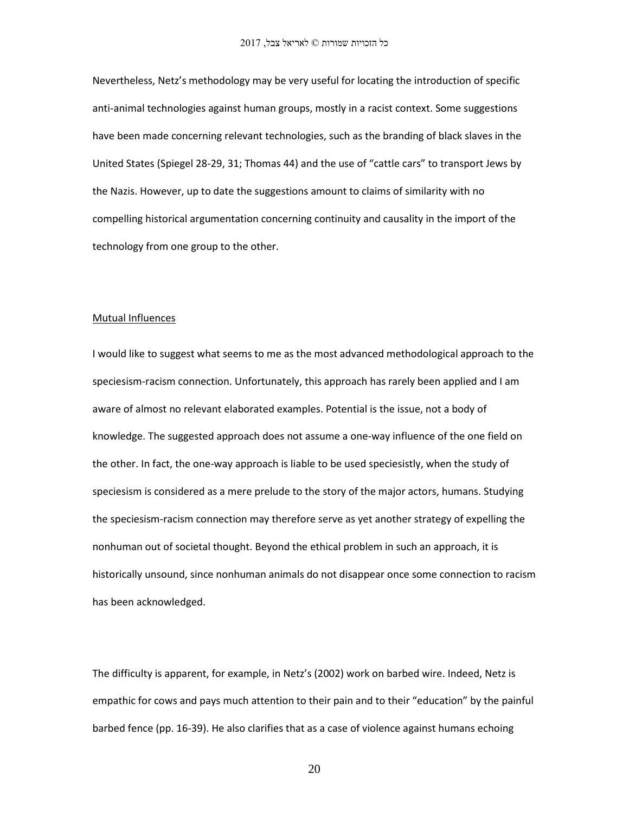Nevertheless, Netz's methodology may be very useful for locating the introduction of specific anti-animal technologies against human groups, mostly in a racist context. Some suggestions have been made concerning relevant technologies, such as the branding of black slaves in the United States (Spiegel 28-29, 31; Thomas 44) and the use of "cattle cars" to transport Jews by the Nazis. However, up to date the suggestions amount to claims of similarity with no compelling historical argumentation concerning continuity and causality in the import of the technology from one group to the other.

#### Mutual Influences

I would like to suggest what seems to me as the most advanced methodological approach to the speciesism-racism connection. Unfortunately, this approach has rarely been applied and I am aware of almost no relevant elaborated examples. Potential is the issue, not a body of knowledge. The suggested approach does not assume a one-way influence of the one field on the other. In fact, the one-way approach is liable to be used speciesistly, when the study of speciesism is considered as a mere prelude to the story of the major actors, humans. Studying the speciesism-racism connection may therefore serve as yet another strategy of expelling the nonhuman out of societal thought. Beyond the ethical problem in such an approach, it is historically unsound, since nonhuman animals do not disappear once some connection to racism has been acknowledged.

The difficulty is apparent, for example, in Netz's (2002) work on barbed wire. Indeed, Netz is empathic for cows and pays much attention to their pain and to their "education" by the painful barbed fence (pp. 16-39). He also clarifies that as a case of violence against humans echoing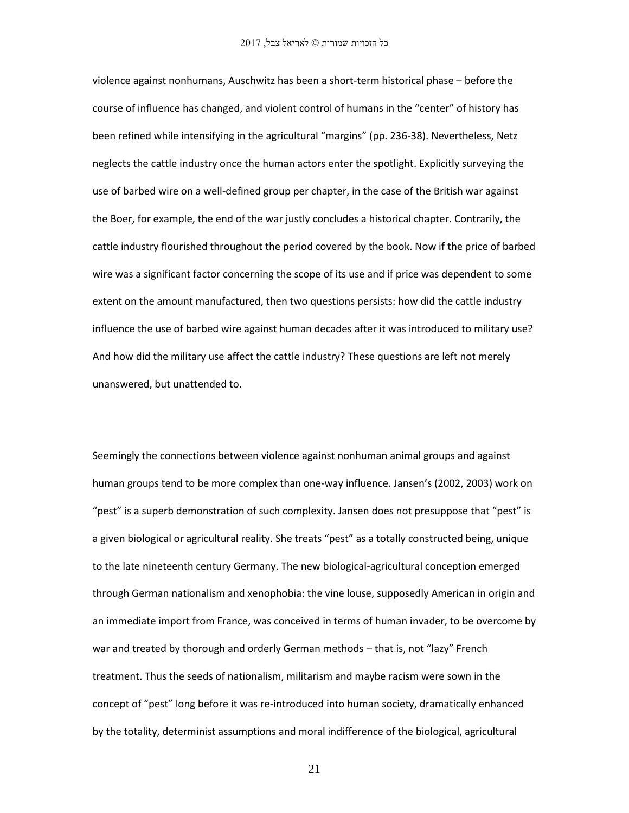violence against nonhumans, Auschwitz has been a short-term historical phase – before the course of influence has changed, and violent control of humans in the "center" of history has been refined while intensifying in the agricultural "margins" (pp. 236-38). Nevertheless, Netz neglects the cattle industry once the human actors enter the spotlight. Explicitly surveying the use of barbed wire on a well-defined group per chapter, in the case of the British war against the Boer, for example, the end of the war justly concludes a historical chapter. Contrarily, the cattle industry flourished throughout the period covered by the book. Now if the price of barbed wire was a significant factor concerning the scope of its use and if price was dependent to some extent on the amount manufactured, then two questions persists: how did the cattle industry influence the use of barbed wire against human decades after it was introduced to military use? And how did the military use affect the cattle industry? These questions are left not merely unanswered, but unattended to.

Seemingly the connections between violence against nonhuman animal groups and against human groups tend to be more complex than one-way influence. Jansen's (2002, 2003) work on "pest" is a superb demonstration of such complexity. Jansen does not presuppose that "pest" is a given biological or agricultural reality. She treats "pest" as a totally constructed being, unique to the late nineteenth century Germany. The new biological-agricultural conception emerged through German nationalism and xenophobia: the vine louse, supposedly American in origin and an immediate import from France, was conceived in terms of human invader, to be overcome by war and treated by thorough and orderly German methods – that is, not "lazy" French treatment. Thus the seeds of nationalism, militarism and maybe racism were sown in the concept of "pest" long before it was re-introduced into human society, dramatically enhanced by the totality, determinist assumptions and moral indifference of the biological, agricultural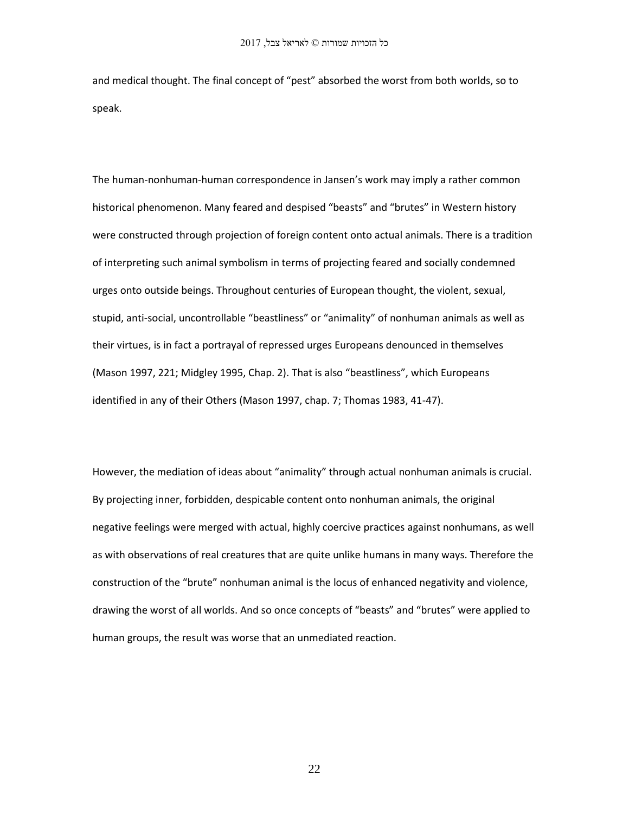and medical thought. The final concept of "pest" absorbed the worst from both worlds, so to speak.

The human-nonhuman-human correspondence in Jansen's work may imply a rather common historical phenomenon. Many feared and despised "beasts" and "brutes" in Western history were constructed through projection of foreign content onto actual animals. There is a tradition of interpreting such animal symbolism in terms of projecting feared and socially condemned urges onto outside beings. Throughout centuries of European thought, the violent, sexual, stupid, anti-social, uncontrollable "beastliness" or "animality" of nonhuman animals as well as their virtues, is in fact a portrayal of repressed urges Europeans denounced in themselves (Mason 1997, 221; Midgley 1995, Chap. 2). That is also "beastliness", which Europeans identified in any of their Others (Mason 1997, chap. 7; Thomas 1983, 41-47).

However, the mediation of ideas about "animality" through actual nonhuman animals is crucial. By projecting inner, forbidden, despicable content onto nonhuman animals, the original negative feelings were merged with actual, highly coercive practices against nonhumans, as well as with observations of real creatures that are quite unlike humans in many ways. Therefore the construction of the "brute" nonhuman animal is the locus of enhanced negativity and violence, drawing the worst of all worlds. And so once concepts of "beasts" and "brutes" were applied to human groups, the result was worse that an unmediated reaction.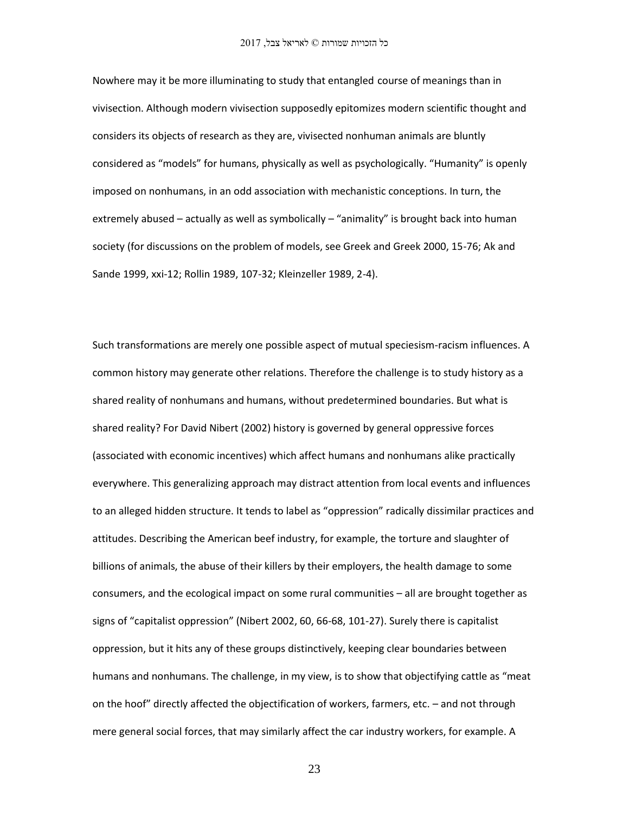Nowhere may it be more illuminating to study that entangled course of meanings than in vivisection. Although modern vivisection supposedly epitomizes modern scientific thought and considers its objects of research as they are, vivisected nonhuman animals are bluntly considered as "models" for humans, physically as well as psychologically. "Humanity" is openly imposed on nonhumans, in an odd association with mechanistic conceptions. In turn, the extremely abused – actually as well as symbolically – "animality" is brought back into human society (for discussions on the problem of models, see Greek and Greek 2000, 15-76; Ak and Sande 1999, xxi-12; Rollin 1989, 107-32; Kleinzeller 1989, 2-4).

Such transformations are merely one possible aspect of mutual speciesism-racism influences. A common history may generate other relations. Therefore the challenge is to study history as a shared reality of nonhumans and humans, without predetermined boundaries. But what is shared reality? For David Nibert (2002) history is governed by general oppressive forces (associated with economic incentives) which affect humans and nonhumans alike practically everywhere. This generalizing approach may distract attention from local events and influences to an alleged hidden structure. It tends to label as "oppression" radically dissimilar practices and attitudes. Describing the American beef industry, for example, the torture and slaughter of billions of animals, the abuse of their killers by their employers, the health damage to some consumers, and the ecological impact on some rural communities – all are brought together as signs of "capitalist oppression" (Nibert 2002, 60, 66-68, 101-27). Surely there is capitalist oppression, but it hits any of these groups distinctively, keeping clear boundaries between humans and nonhumans. The challenge, in my view, is to show that objectifying cattle as "meat on the hoof" directly affected the objectification of workers, farmers, etc. – and not through mere general social forces, that may similarly affect the car industry workers, for example. A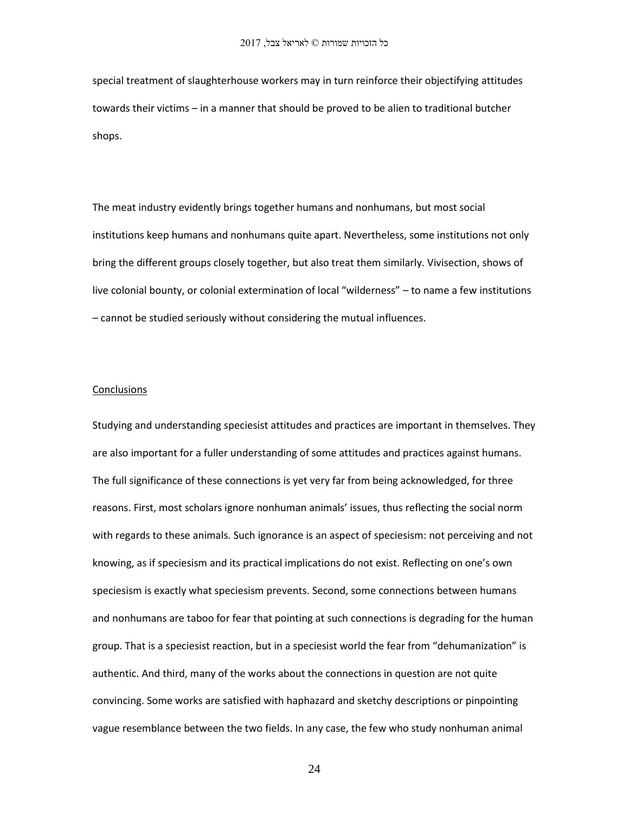special treatment of slaughterhouse workers may in turn reinforce their objectifying attitudes towards their victims – in a manner that should be proved to be alien to traditional butcher shops.

The meat industry evidently brings together humans and nonhumans, but most social institutions keep humans and nonhumans quite apart. Nevertheless, some institutions not only bring the different groups closely together, but also treat them similarly. Vivisection, shows of live colonial bounty, or colonial extermination of local "wilderness" – to name a few institutions – cannot be studied seriously without considering the mutual influences.

### Conclusions

Studying and understanding speciesist attitudes and practices are important in themselves. They are also important for a fuller understanding of some attitudes and practices against humans. The full significance of these connections is yet very far from being acknowledged, for three reasons. First, most scholars ignore nonhuman animals' issues, thus reflecting the social norm with regards to these animals. Such ignorance is an aspect of speciesism: not perceiving and not knowing, as if speciesism and its practical implications do not exist. Reflecting on one's own speciesism is exactly what speciesism prevents. Second, some connections between humans and nonhumans are taboo for fear that pointing at such connections is degrading for the human group. That is a speciesist reaction, but in a speciesist world the fear from "dehumanization" is authentic. And third, many of the works about the connections in question are not quite convincing. Some works are satisfied with haphazard and sketchy descriptions or pinpointing vague resemblance between the two fields. In any case, the few who study nonhuman animal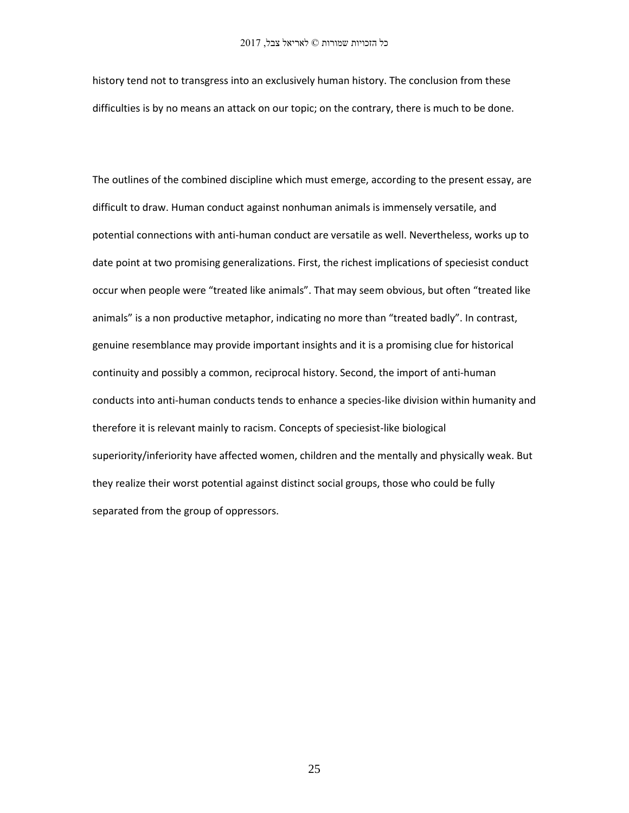history tend not to transgress into an exclusively human history. The conclusion from these difficulties is by no means an attack on our topic; on the contrary, there is much to be done.

The outlines of the combined discipline which must emerge, according to the present essay, are difficult to draw. Human conduct against nonhuman animals is immensely versatile, and potential connections with anti-human conduct are versatile as well. Nevertheless, works up to date point at two promising generalizations. First, the richest implications of speciesist conduct occur when people were "treated like animals". That may seem obvious, but often "treated like animals" is a non productive metaphor, indicating no more than "treated badly". In contrast, genuine resemblance may provide important insights and it is a promising clue for historical continuity and possibly a common, reciprocal history. Second, the import of anti-human conducts into anti-human conducts tends to enhance a species-like division within humanity and therefore it is relevant mainly to racism. Concepts of speciesist-like biological superiority/inferiority have affected women, children and the mentally and physically weak. But they realize their worst potential against distinct social groups, those who could be fully separated from the group of oppressors.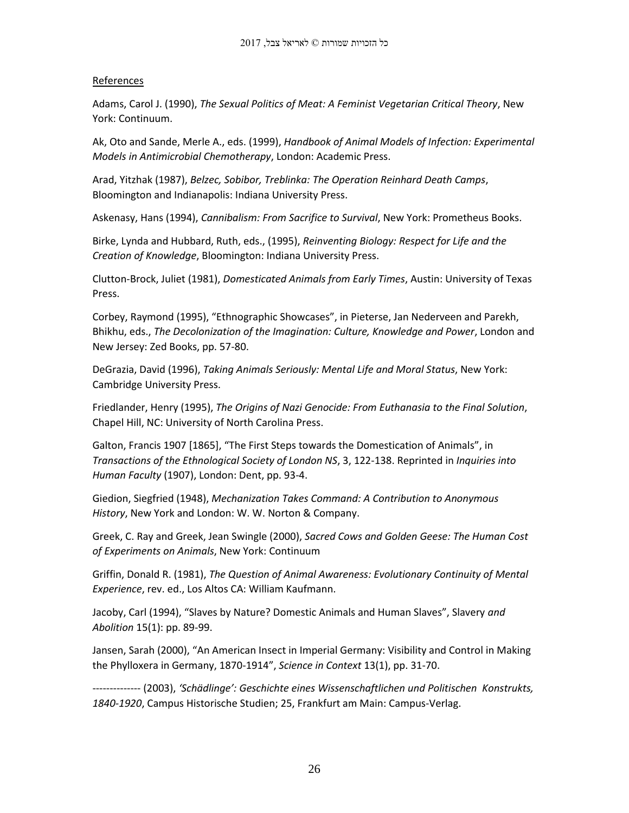## References

Adams, Carol J. (1990), *The Sexual Politics of Meat: A Feminist Vegetarian Critical Theory*, New York: Continuum.

Ak, Oto and Sande, Merle A., eds. (1999), *Handbook of Animal Models of Infection: Experimental Models in Antimicrobial Chemotherapy*, London: Academic Press.

Arad, Yitzhak (1987), *Belzec, Sobibor, Treblinka: The Operation Reinhard Death Camps*, Bloomington and Indianapolis: Indiana University Press.

Askenasy, Hans (1994), *Cannibalism: From Sacrifice to Survival*, New York: Prometheus Books.

Birke, Lynda and Hubbard, Ruth, eds., (1995), *Reinventing Biology: Respect for Life and the Creation of Knowledge*, Bloomington: Indiana University Press.

Clutton-Brock, Juliet (1981), *Domesticated Animals from Early Times*, Austin: University of Texas Press.

Corbey, Raymond (1995), "Ethnographic Showcases", in Pieterse, Jan Nederveen and Parekh, Bhikhu, eds., *The Decolonization of the Imagination: Culture, Knowledge and Power*, London and New Jersey: Zed Books, pp. 57-80.

DeGrazia, David (1996), *Taking Animals Seriously: Mental Life and Moral Status*, New York: Cambridge University Press.

Friedlander, Henry (1995), *The Origins of Nazi Genocide: From Euthanasia to the Final Solution*, Chapel Hill, NC: University of North Carolina Press.

Galton, Francis 1907 [1865], "The First Steps towards the Domestication of Animals", in *Transactions of the Ethnological Society of London NS*, 3, 122-138. Reprinted in *Inquiries into Human Faculty* (1907), London: Dent, pp. 93-4.

Giedion, Siegfried (1948), *Mechanization Takes Command: A Contribution to Anonymous History*, New York and London: W. W. Norton & Company.

Greek, C. Ray and Greek, Jean Swingle (2000), *Sacred Cows and Golden Geese: The Human Cost of Experiments on Animals*, New York: Continuum

Griffin, Donald R. (1981), *The Question of Animal Awareness: Evolutionary Continuity of Mental Experience*, rev. ed., Los Altos CA: William Kaufmann.

Jacoby, Carl (1994), "Slaves by Nature? Domestic Animals and Human Slaves", Slavery *and Abolition* 15(1): pp. 89-99.

Jansen, Sarah (2000), "An American Insect in Imperial Germany: Visibility and Control in Making the Phylloxera in Germany, 1870-1914", *Science in Context* 13(1), pp. 31-70.

-------------- (2003), *'Schädlinge': Geschichte eines Wissenschaftlichen und Politischen Konstrukts, 1840-1920*, Campus Historische Studien; 25, Frankfurt am Main: Campus-Verlag.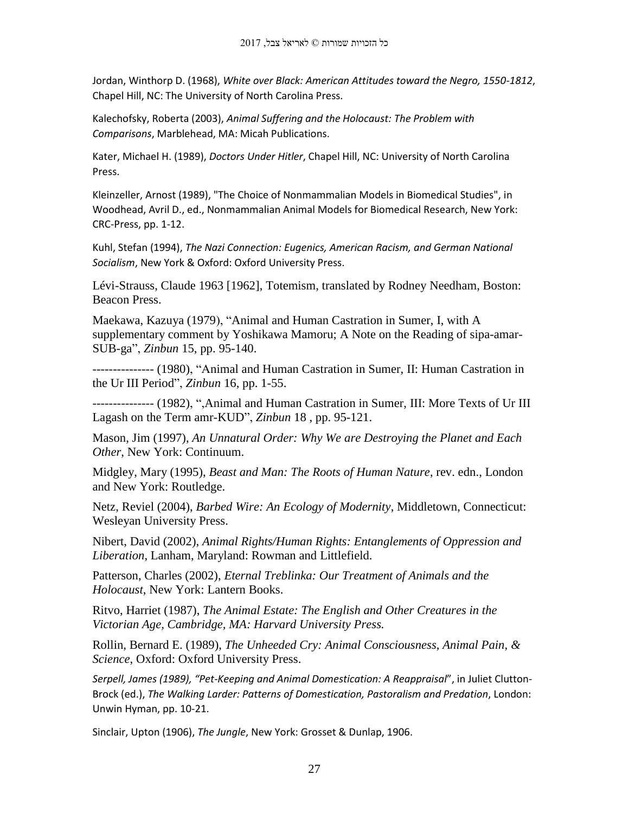Jordan, Winthorp D. (1968), *White over Black: American Attitudes toward the Negro, 1550-1812*, Chapel Hill, NC: The University of North Carolina Press.

Kalechofsky, Roberta (2003), *Animal Suffering and the Holocaust: The Problem with Comparisons*, Marblehead, MA: Micah Publications.

Kater, Michael H. (1989), *Doctors Under Hitler*, Chapel Hill, NC: University of North Carolina Press.

Kleinzeller, Arnost (1989), "The Choice of Nonmammalian Models in Biomedical Studies", in Woodhead, Avril D., ed., Nonmammalian Animal Models for Biomedical Research, New York: CRC-Press, pp. 1-12.

Kuhl, Stefan (1994), *The Nazi Connection: Eugenics, American Racism, and German National Socialism*, New York & Oxford: Oxford University Press.

Lévi-Strauss, Claude 1963 [1962], Totemism, translated by Rodney Needham, Boston: Beacon Press.

Maekawa, Kazuya (1979), "Animal and Human Castration in Sumer, I, with A supplementary comment by Yoshikawa Mamoru; A Note on the Reading of sipa-amar-SUB-ga", *Zinbun* 15, pp. 95-140.

--------------- (1980), "Animal and Human Castration in Sumer, II: Human Castration in the Ur III Period", *Zinbun* 16, pp. 1-55.

--------------- (1982), ",Animal and Human Castration in Sumer, III: More Texts of Ur III Lagash on the Term amr-KUD", *Zinbun* 18 , pp. 95-121.

Mason, Jim (1997), *An Unnatural Order: Why We are Destroying the Planet and Each Other*, New York: Continuum.

Midgley, Mary (1995), *Beast and Man: The Roots of Human Nature*, rev. edn., London and New York: Routledge.

Netz, Reviel (2004), *Barbed Wire: An Ecology of Modernity*, Middletown, Connecticut: Wesleyan University Press.

Nibert, David (2002), *Animal Rights/Human Rights: Entanglements of Oppression and Liberation*, Lanham, Maryland: Rowman and Littlefield.

Patterson, Charles (2002), *Eternal Treblinka: Our Treatment of Animals and the Holocaust*, New York: Lantern Books.

Ritvo, Harriet (1987), *The Animal Estate: The English and Other Creatures in the Victorian Age, Cambridge, MA: Harvard University Press.*

Rollin, Bernard E. (1989), *The Unheeded Cry: Animal Consciousness, Animal Pain, & Science*, Oxford: Oxford University Press.

*Serpell, James (1989), "Pet-Keeping and Animal Domestication: A Reappraisal*", in Juliet Clutton-Brock (ed.), *The Walking Larder: Patterns of Domestication, Pastoralism and Predation*, London: Unwin Hyman, pp. 10-21.

Sinclair, Upton (1906), *The Jungle*, New York: Grosset & Dunlap, 1906.